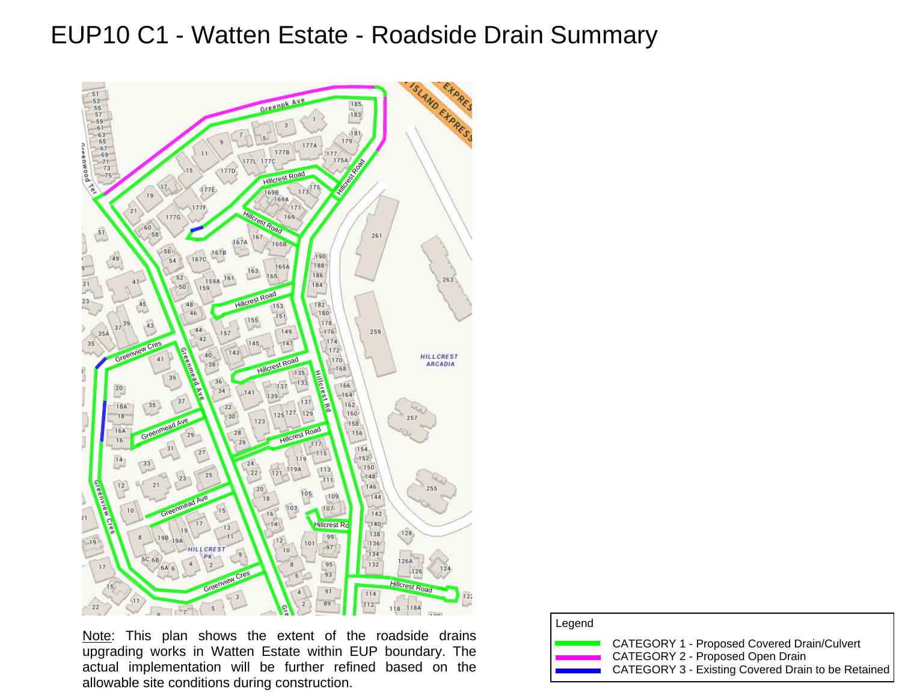## EUP10 C1 - Watten Estate - Roadside Drain Summary



Note: This plan shows the extent of the roadside drains upgrading works in Watten Estate within EUP boundary. The actual implementation will be further refined based on the allowable site conditions during construction.

| Legend |                                                                                                                                       |
|--------|---------------------------------------------------------------------------------------------------------------------------------------|
|        | CATEGORY 1 - Proposed Covered Drain/Culvert<br>CATEGORY 2 - Proposed Open Drain<br>CATEGORY 3 - Existing Covered Drain to be Retained |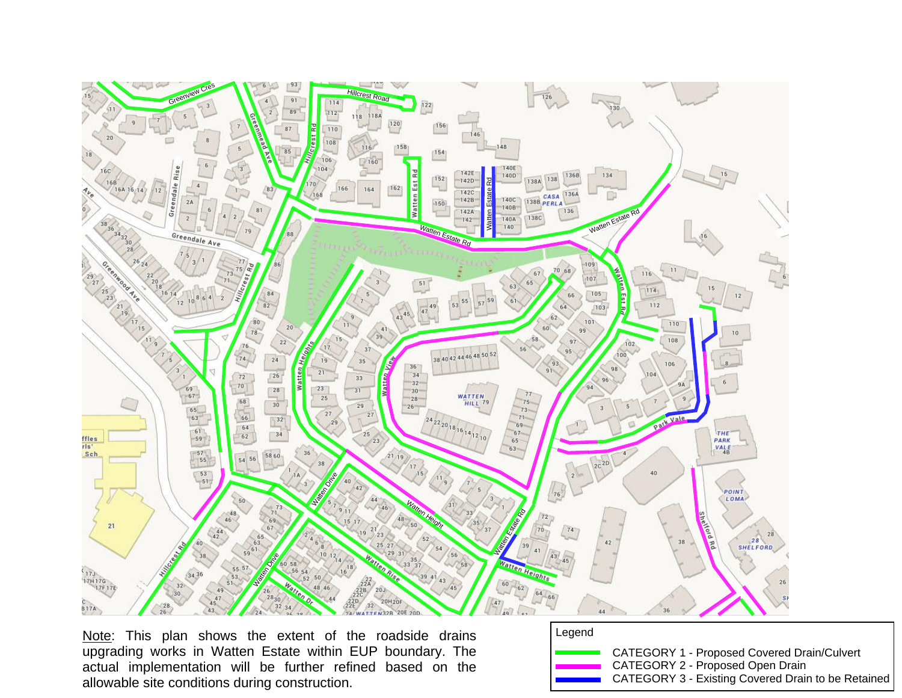

Note: This plan shows the extent of the roadside drains upgrading works in Watten Estate within EUP boundary. The actual implementation will be further refined based on the allowable site conditions during construction.